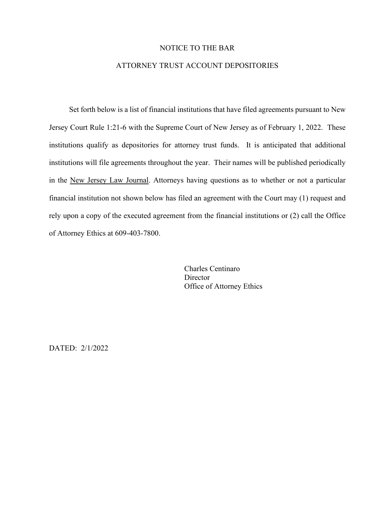## NOTICE TO THE BAR

## ATTORNEY TRUST ACCOUNT DEPOSITORIES

Set forth below is a list of financial institutions that have filed agreements pursuant to New Jersey Court Rule 1:21-6 with the Supreme Court of New Jersey as of February 1, 2022. These institutions qualify as depositories for attorney trust funds. It is anticipated that additional institutions will file agreements throughout the year. Their names will be published periodically in the New Jersey Law Journal. Attorneys having questions as to whether or not a particular financial institution not shown below has filed an agreement with the Court may (1) request and rely upon a copy of the executed agreement from the financial institutions or (2) call the Office of Attorney Ethics at 609-403-7800.

> Charles Centinaro **Director** Office of Attorney Ethics

DATED: 2/1/2022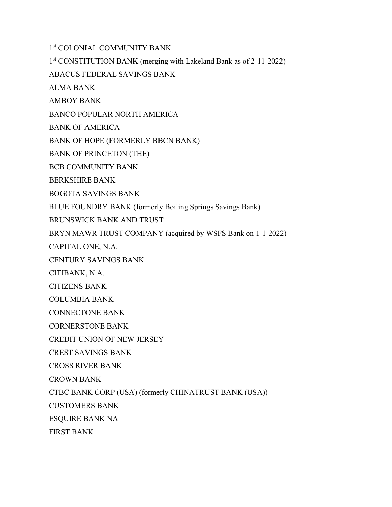1st COLONIAL COMMUNITY BANK

1st CONSTITUTION BANK (merging with Lakeland Bank as of 2-11-2022)

ABACUS FEDERAL SAVINGS BANK

ALMA BANK

AMBOY BANK

BANCO POPULAR NORTH AMERICA

BANK OF AMERICA

BANK OF HOPE (FORMERLY BBCN BANK)

BANK OF PRINCETON (THE)

BCB COMMUNITY BANK

BERKSHIRE BANK

BOGOTA SAVINGS BANK

BLUE FOUNDRY BANK (formerly Boiling Springs Savings Bank)

BRUNSWICK BANK AND TRUST

BRYN MAWR TRUST COMPANY (acquired by WSFS Bank on 1-1-2022)

CAPITAL ONE, N.A.

CENTURY SAVINGS BANK

CITIBANK, N.A.

CITIZENS BANK

COLUMBIA BANK

CONNECTONE BANK

CORNERSTONE BANK

CREDIT UNION OF NEW JERSEY

CREST SAVINGS BANK

CROSS RIVER BANK

CROWN BANK

CTBC BANK CORP (USA) (formerly CHINATRUST BANK (USA))

CUSTOMERS BANK

ESQUIRE BANK NA

FIRST BANK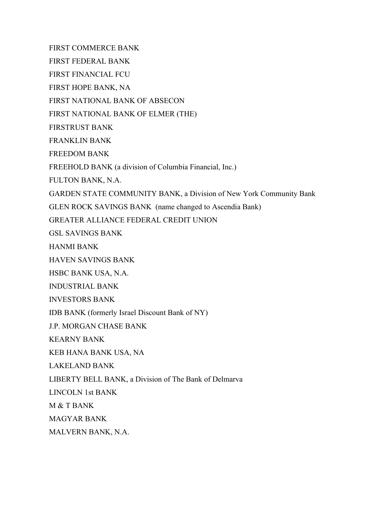FIRST COMMERCE BANK

FIRST FEDERAL BANK

FIRST FINANCIAL FCU

FIRST HOPE BANK, NA

FIRST NATIONAL BANK OF ABSECON

FIRST NATIONAL BANK OF ELMER (THE)

FIRSTRUST BANK

FRANKLIN BANK

FREEDOM BANK

FREEHOLD BANK (a division of Columbia Financial, Inc.)

FULTON BANK, N.A.

GARDEN STATE COMMUNITY BANK, a Division of New York Community Bank

GLEN ROCK SAVINGS BANK (name changed to Ascendia Bank)

GREATER ALLIANCE FEDERAL CREDIT UNION

GSL SAVINGS BANK

HANMI BANK

HAVEN SAVINGS BANK

HSBC BANK USA, N.A.

INDUSTRIAL BANK

INVESTORS BANK

IDB BANK (formerly Israel Discount Bank of NY)

J.P. MORGAN CHASE BANK

KEARNY BANK

KEB HANA BANK USA, NA

LAKELAND BANK

LIBERTY BELL BANK, a Division of The Bank of Delmarva

LINCOLN 1st BANK

M & T BANK

MAGYAR BANK

MALVERN BANK, N.A.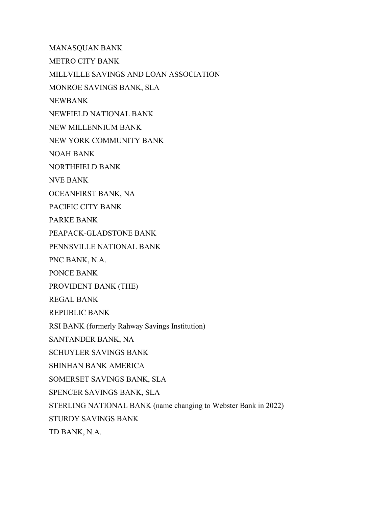MANASQUAN BANK METRO CITY BANK MILLVILLE SAVINGS AND LOAN ASSOCIATION MONROE SAVINGS BANK, SLA NEWBANK NEWFIELD NATIONAL BANK NEW MILLENNIUM BANK NEW YORK COMMUNITY BANK NOAH BANK NORTHFIELD BANK NVE BANK OCEANFIRST BANK, NA PACIFIC CITY BANK PARKE BANK PEAPACK-GLADSTONE BANK PENNSVILLE NATIONAL BANK PNC BANK, N.A. PONCE BANK PROVIDENT BANK (THE) REGAL BANK REPUBLIC BANK RSI BANK (formerly Rahway Savings Institution) SANTANDER BANK, NA SCHUYLER SAVINGS BANK SHINHAN BANK AMERICA SOMERSET SAVINGS BANK, SLA SPENCER SAVINGS BANK, SLA STERLING NATIONAL BANK (name changing to Webster Bank in 2022) STURDY SAVINGS BANK

TD BANK, N.A.